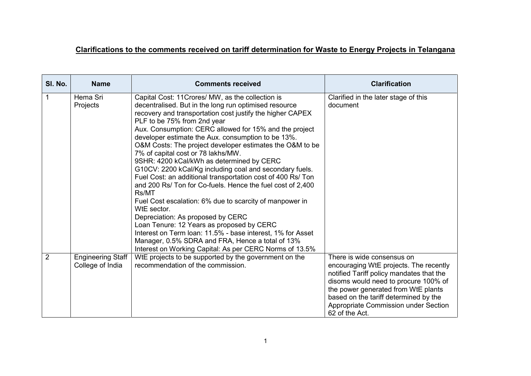#### **Clarifications to the comments received on tariff determination for Waste to Energy Projects in Telangana**

| SI. No.        | <b>Name</b>                                  | <b>Comments received</b>                                                                                                                                                                                                                                                                                                                                                                                                                                                                                                                                                                                                                                                                                                                                                                                                                                                                                                                                                                                        | <b>Clarification</b>                                                                                                                                                                                                                                                                               |
|----------------|----------------------------------------------|-----------------------------------------------------------------------------------------------------------------------------------------------------------------------------------------------------------------------------------------------------------------------------------------------------------------------------------------------------------------------------------------------------------------------------------------------------------------------------------------------------------------------------------------------------------------------------------------------------------------------------------------------------------------------------------------------------------------------------------------------------------------------------------------------------------------------------------------------------------------------------------------------------------------------------------------------------------------------------------------------------------------|----------------------------------------------------------------------------------------------------------------------------------------------------------------------------------------------------------------------------------------------------------------------------------------------------|
| 1              | Hema Sri<br>Projects                         | Capital Cost: 11 Crores/ MW, as the collection is<br>decentralised. But in the long run optimised resource<br>recovery and transportation cost justify the higher CAPEX<br>PLF to be 75% from 2nd year<br>Aux. Consumption: CERC allowed for 15% and the project<br>developer estimate the Aux. consumption to be 13%.<br>O&M Costs: The project developer estimates the O&M to be<br>7% of capital cost or 78 lakhs/MW.<br>9SHR: 4200 kCal/kWh as determined by CERC<br>G10CV: 2200 kCal/Kg including coal and secondary fuels.<br>Fuel Cost: an additional transportation cost of 400 Rs/ Ton<br>and 200 Rs/ Ton for Co-fuels. Hence the fuel cost of 2,400<br>Rs/MT<br>Fuel Cost escalation: 6% due to scarcity of manpower in<br>WtE sector.<br>Depreciation: As proposed by CERC<br>Loan Tenure: 12 Years as proposed by CERC<br>Interest on Term Ioan: 11.5% - base interest, 1% for Asset<br>Manager, 0.5% SDRA and FRA, Hence a total of 13%<br>Interest on Working Capital: As per CERC Norms of 13.5% | Clarified in the later stage of this<br>document                                                                                                                                                                                                                                                   |
| $\overline{2}$ | <b>Engineering Staff</b><br>College of India | WtE projects to be supported by the government on the<br>recommendation of the commission.                                                                                                                                                                                                                                                                                                                                                                                                                                                                                                                                                                                                                                                                                                                                                                                                                                                                                                                      | There is wide consensus on<br>encouraging WtE projects. The recently<br>notified Tariff policy mandates that the<br>disoms would need to procure 100% of<br>the power generated from WtE plants<br>based on the tariff determined by the<br>Appropriate Commission under Section<br>62 of the Act. |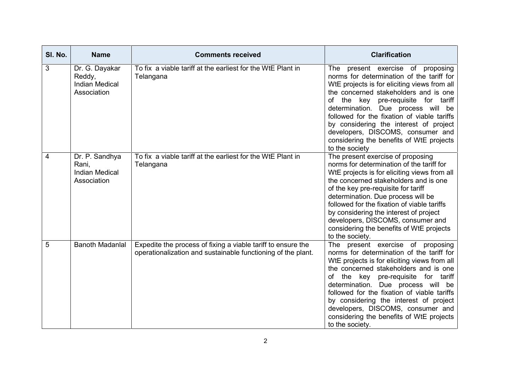| SI. No. | <b>Name</b>                                                      | <b>Comments received</b>                                                                                                     | <b>Clarification</b>                                                                                                                                                                                                                                                                                                                                                                                                                                |
|---------|------------------------------------------------------------------|------------------------------------------------------------------------------------------------------------------------------|-----------------------------------------------------------------------------------------------------------------------------------------------------------------------------------------------------------------------------------------------------------------------------------------------------------------------------------------------------------------------------------------------------------------------------------------------------|
| 3       | Dr. G. Dayakar<br>Reddy,<br><b>Indian Medical</b><br>Association | To fix a viable tariff at the earliest for the WtE Plant in<br>Telangana                                                     | present exercise of proposing<br>The<br>norms for determination of the tariff for<br>WtE projects is for eliciting views from all<br>the concerned stakeholders and is one<br>of the key pre-requisite for tariff<br>determination. Due process will be<br>followed for the fixation of viable tariffs<br>by considering the interest of project<br>developers, DISCOMS, consumer and<br>considering the benefits of WtE projects<br>to the society |
| 4       | Dr. P. Sandhya<br>Rani,<br><b>Indian Medical</b><br>Association  | To fix a viable tariff at the earliest for the WtE Plant in<br>Telangana                                                     | The present exercise of proposing<br>norms for determination of the tariff for<br>WtE projects is for eliciting views from all<br>the concerned stakeholders and is one<br>of the key pre-requisite for tariff<br>determination. Due process will be<br>followed for the fixation of viable tariffs<br>by considering the interest of project<br>developers, DISCOMS, consumer and<br>considering the benefits of WtE projects<br>to the society.   |
| 5       | <b>Banoth Madanial</b>                                           | Expedite the process of fixing a viable tariff to ensure the<br>operationalization and sustainable functioning of the plant. | The present exercise of proposing<br>norms for determination of the tariff for<br>WtE projects is for eliciting views from all<br>the concerned stakeholders and is one<br>of the key pre-requisite for tariff<br>determination. Due process will be<br>followed for the fixation of viable tariffs<br>by considering the interest of project<br>developers, DISCOMS, consumer and<br>considering the benefits of WtE projects<br>to the society.   |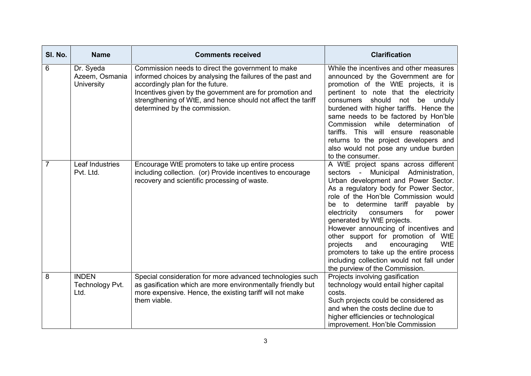| SI. No.        | <b>Name</b>                               | <b>Comments received</b>                                                                                                                                                                                                                                                                                         | <b>Clarification</b>                                                                                                                                                                                                                                                                                                                                                                                                                                                                                                                                                 |
|----------------|-------------------------------------------|------------------------------------------------------------------------------------------------------------------------------------------------------------------------------------------------------------------------------------------------------------------------------------------------------------------|----------------------------------------------------------------------------------------------------------------------------------------------------------------------------------------------------------------------------------------------------------------------------------------------------------------------------------------------------------------------------------------------------------------------------------------------------------------------------------------------------------------------------------------------------------------------|
| 6              | Dr. Syeda<br>Azeem, Osmania<br>University | Commission needs to direct the government to make<br>informed choices by analysing the failures of the past and<br>accordingly plan for the future.<br>Incentives given by the government are for promotion and<br>strengthening of WtE, and hence should not affect the tariff<br>determined by the commission. | While the incentives and other measures<br>announced by the Government are for<br>promotion of the WtE projects, it is<br>pertinent to note that the electricity<br>consumers should not be unduly<br>burdened with higher tariffs. Hence the<br>same needs to be factored by Hon'ble<br>Commission while determination of<br>tariffs. This will ensure reasonable<br>returns to the project developers and<br>also would not pose any undue burden<br>to the consumer.                                                                                              |
| $\overline{7}$ | Leaf Industries<br>Pvt. Ltd.              | Encourage WtE promoters to take up entire process<br>including collection. (or) Provide incentives to encourage<br>recovery and scientific processing of waste.                                                                                                                                                  | A WtE project spans across different<br>sectors - Municipal Administration,<br>Urban development and Power Sector.<br>As a regulatory body for Power Sector,<br>role of the Hon'ble Commission would<br>be to determine tariff payable by<br>electricity<br>consumers<br>for<br>power<br>generated by WtE projects.<br>However announcing of incentives and<br>other support for promotion of WtE<br>projects<br>encouraging<br>WtE<br>and<br>promoters to take up the entire process<br>including collection would not fall under<br>the purview of the Commission. |
| 8              | <b>INDEN</b><br>Technology Pvt.<br>Ltd.   | Special consideration for more advanced technologies such<br>as gasification which are more environmentally friendly but<br>more expensive. Hence, the existing tariff will not make<br>them viable.                                                                                                             | Projects involving gasification<br>technology would entail higher capital<br>costs.<br>Such projects could be considered as<br>and when the costs decline due to<br>higher efficiencies or technological<br>improvement. Hon'ble Commission                                                                                                                                                                                                                                                                                                                          |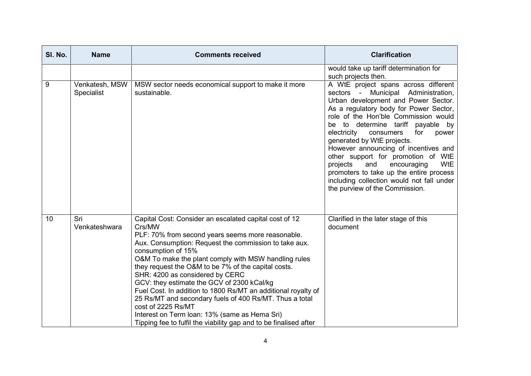| SI. No. | <b>Name</b><br><b>Comments received</b> |                                                                                                                                                                                                                                                                                                                                                                                                                                                                                                                                                        | <b>Clarification</b>                                                                                                                                                                                                                                                                                                                                                                                                                                               |
|---------|-----------------------------------------|--------------------------------------------------------------------------------------------------------------------------------------------------------------------------------------------------------------------------------------------------------------------------------------------------------------------------------------------------------------------------------------------------------------------------------------------------------------------------------------------------------------------------------------------------------|--------------------------------------------------------------------------------------------------------------------------------------------------------------------------------------------------------------------------------------------------------------------------------------------------------------------------------------------------------------------------------------------------------------------------------------------------------------------|
| 9       | Venkatesh, MSW<br><b>Specialist</b>     | MSW sector needs economical support to make it more<br>sustainable.                                                                                                                                                                                                                                                                                                                                                                                                                                                                                    | would take up tariff determination for<br>such projects then.<br>A WtE project spans across different<br>sectors - Municipal Administration,<br>Urban development and Power Sector.<br>As a regulatory body for Power Sector,<br>role of the Hon'ble Commission would<br>be to determine tariff payable by<br>electricity<br>consumers<br>for<br>power<br>generated by WtE projects.<br>However announcing of incentives and<br>other support for promotion of WtE |
|         |                                         |                                                                                                                                                                                                                                                                                                                                                                                                                                                                                                                                                        | <b>WtE</b><br>projects<br>and<br>encouraging<br>promoters to take up the entire process<br>including collection would not fall under<br>the purview of the Commission.                                                                                                                                                                                                                                                                                             |
| 10      | Sri<br>Venkateshwara                    | Capital Cost: Consider an escalated capital cost of 12<br>Crs/MW<br>PLF: 70% from second years seems more reasonable.<br>Aux. Consumption: Request the commission to take aux.<br>consumption of 15%<br>O&M To make the plant comply with MSW handling rules<br>they request the O&M to be 7% of the capital costs.<br>SHR: 4200 as considered by CERC<br>GCV: they estimate the GCV of 2300 kCal/kg<br>Fuel Cost. In addition to 1800 Rs/MT an additional royalty of<br>25 Rs/MT and secondary fuels of 400 Rs/MT. Thus a total<br>cost of 2225 Rs/MT | Clarified in the later stage of this<br>document                                                                                                                                                                                                                                                                                                                                                                                                                   |
|         |                                         | Interest on Term Ioan: 13% (same as Hema Sri)<br>Tipping fee to fulfil the viability gap and to be finalised after                                                                                                                                                                                                                                                                                                                                                                                                                                     |                                                                                                                                                                                                                                                                                                                                                                                                                                                                    |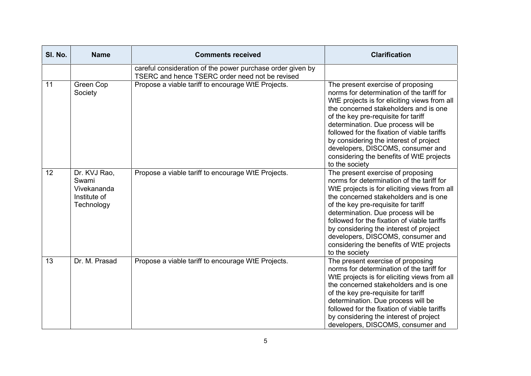| SI. No. | <b>Name</b>                                                        | <b>Comments received</b>                                                                                      | <b>Clarification</b>                                                                                                                                                                                                                                                                                                                                                                                                                             |
|---------|--------------------------------------------------------------------|---------------------------------------------------------------------------------------------------------------|--------------------------------------------------------------------------------------------------------------------------------------------------------------------------------------------------------------------------------------------------------------------------------------------------------------------------------------------------------------------------------------------------------------------------------------------------|
|         |                                                                    | careful consideration of the power purchase order given by<br>TSERC and hence TSERC order need not be revised |                                                                                                                                                                                                                                                                                                                                                                                                                                                  |
| 11      | Green Cop<br>Society                                               | Propose a viable tariff to encourage WtE Projects.                                                            | The present exercise of proposing<br>norms for determination of the tariff for<br>WtE projects is for eliciting views from all<br>the concerned stakeholders and is one<br>of the key pre-requisite for tariff<br>determination. Due process will be<br>followed for the fixation of viable tariffs<br>by considering the interest of project<br>developers, DISCOMS, consumer and<br>considering the benefits of WtE projects<br>to the society |
| 12      | Dr. KVJ Rao,<br>Swami<br>Vivekananda<br>Institute of<br>Technology | Propose a viable tariff to encourage WtE Projects.                                                            | The present exercise of proposing<br>norms for determination of the tariff for<br>WtE projects is for eliciting views from all<br>the concerned stakeholders and is one<br>of the key pre-requisite for tariff<br>determination. Due process will be<br>followed for the fixation of viable tariffs<br>by considering the interest of project<br>developers, DISCOMS, consumer and<br>considering the benefits of WtE projects<br>to the society |
| 13      | Dr. M. Prasad                                                      | Propose a viable tariff to encourage WtE Projects.                                                            | The present exercise of proposing<br>norms for determination of the tariff for<br>WtE projects is for eliciting views from all<br>the concerned stakeholders and is one<br>of the key pre-requisite for tariff<br>determination. Due process will be<br>followed for the fixation of viable tariffs<br>by considering the interest of project<br>developers, DISCOMS, consumer and                                                               |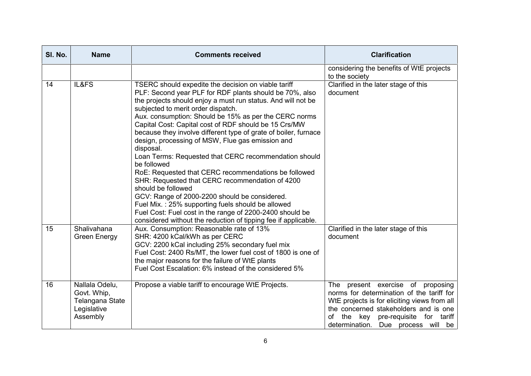| SI. No. | <b>Name</b>                                                                 | <b>Comments received</b>                                                                                                                                                                                                                                                                                                                                                                                                                                                                                                                                                                                                                                                                                                                                                                                                                                                                                                | <b>Clarification</b>                                                                                                                                                                                                                                       |
|---------|-----------------------------------------------------------------------------|-------------------------------------------------------------------------------------------------------------------------------------------------------------------------------------------------------------------------------------------------------------------------------------------------------------------------------------------------------------------------------------------------------------------------------------------------------------------------------------------------------------------------------------------------------------------------------------------------------------------------------------------------------------------------------------------------------------------------------------------------------------------------------------------------------------------------------------------------------------------------------------------------------------------------|------------------------------------------------------------------------------------------------------------------------------------------------------------------------------------------------------------------------------------------------------------|
|         |                                                                             |                                                                                                                                                                                                                                                                                                                                                                                                                                                                                                                                                                                                                                                                                                                                                                                                                                                                                                                         | considering the benefits of WtE projects<br>to the society                                                                                                                                                                                                 |
| 14      | IL&FS                                                                       | TSERC should expedite the decision on viable tariff<br>PLF: Second year PLF for RDF plants should be 70%, also<br>the projects should enjoy a must run status. And will not be<br>subjected to merit order dispatch.<br>Aux. consumption: Should be 15% as per the CERC norms<br>Capital Cost: Capital cost of RDF should be 15 Crs/MW<br>because they involve different type of grate of boiler, furnace<br>design, processing of MSW, Flue gas emission and<br>disposal.<br>Loan Terms: Requested that CERC recommendation should<br>be followed<br>RoE: Requested that CERC recommendations be followed<br>SHR: Requested that CERC recommendation of 4200<br>should be followed<br>GCV: Range of 2000-2200 should be considered.<br>Fuel Mix.: 25% supporting fuels should be allowed<br>Fuel Cost: Fuel cost in the range of 2200-2400 should be<br>considered without the reduction of tipping fee if applicable. | Clarified in the later stage of this<br>document                                                                                                                                                                                                           |
| 15      | Shalivahana<br><b>Green Energy</b>                                          | Aux. Consumption: Reasonable rate of 13%<br>SHR: 4200 kCal/kWh as per CERC<br>GCV: 2200 kCal including 25% secondary fuel mix<br>Fuel Cost: 2400 Rs/MT, the lower fuel cost of 1800 is one of<br>the major reasons for the failure of WtE plants<br>Fuel Cost Escalation: 6% instead of the considered 5%                                                                                                                                                                                                                                                                                                                                                                                                                                                                                                                                                                                                               | Clarified in the later stage of this<br>document                                                                                                                                                                                                           |
| 16      | Nallala Odelu,<br>Govt. Whip,<br>Telangana State<br>Legislative<br>Assembly | Propose a viable tariff to encourage WtE Projects.                                                                                                                                                                                                                                                                                                                                                                                                                                                                                                                                                                                                                                                                                                                                                                                                                                                                      | present exercise of proposing<br>The<br>norms for determination of the tariff for<br>WtE projects is for eliciting views from all<br>the concerned stakeholders and is one<br>the key pre-requisite for tariff<br>of<br>determination. Due process will be |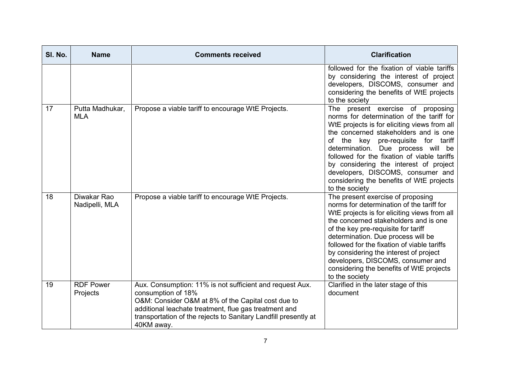| SI. No. | <b>Name</b>                   | <b>Comments received</b>                                                                                                                                                                                                                                                       | <b>Clarification</b>                                                                                                                                                                                                                                                                                                                                                                                                                             |
|---------|-------------------------------|--------------------------------------------------------------------------------------------------------------------------------------------------------------------------------------------------------------------------------------------------------------------------------|--------------------------------------------------------------------------------------------------------------------------------------------------------------------------------------------------------------------------------------------------------------------------------------------------------------------------------------------------------------------------------------------------------------------------------------------------|
|         |                               |                                                                                                                                                                                                                                                                                | followed for the fixation of viable tariffs<br>by considering the interest of project<br>developers, DISCOMS, consumer and<br>considering the benefits of WtE projects<br>to the society                                                                                                                                                                                                                                                         |
| 17      | Putta Madhukar,<br><b>MLA</b> | Propose a viable tariff to encourage WtE Projects.                                                                                                                                                                                                                             | The present exercise of proposing<br>norms for determination of the tariff for<br>WtE projects is for eliciting views from all<br>the concerned stakeholders and is one<br>of the key pre-requisite for tariff<br>determination. Due process will be<br>followed for the fixation of viable tariffs<br>by considering the interest of project<br>developers, DISCOMS, consumer and<br>considering the benefits of WtE projects<br>to the society |
| 18      | Diwakar Rao<br>Nadipelli, MLA | Propose a viable tariff to encourage WtE Projects.                                                                                                                                                                                                                             | The present exercise of proposing<br>norms for determination of the tariff for<br>WtE projects is for eliciting views from all<br>the concerned stakeholders and is one<br>of the key pre-requisite for tariff<br>determination. Due process will be<br>followed for the fixation of viable tariffs<br>by considering the interest of project<br>developers, DISCOMS, consumer and<br>considering the benefits of WtE projects<br>to the society |
| 19      | <b>RDF Power</b><br>Projects  | Aux. Consumption: 11% is not sufficient and request Aux.<br>consumption of 18%<br>O&M: Consider O&M at 8% of the Capital cost due to<br>additional leachate treatment, flue gas treatment and<br>transportation of the rejects to Sanitary Landfill presently at<br>40KM away. | Clarified in the later stage of this<br>document                                                                                                                                                                                                                                                                                                                                                                                                 |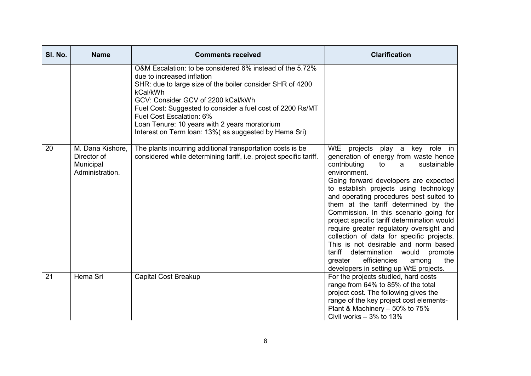| SI. No. | <b>Name</b>                                                     | <b>Comments received</b>                                                                                                                                                                                                                                                                                                                                                                                  | <b>Clarification</b>                                                                                                                                                                                                                                                                                                                                                                                                                                                                                                                                                                                                                                                |
|---------|-----------------------------------------------------------------|-----------------------------------------------------------------------------------------------------------------------------------------------------------------------------------------------------------------------------------------------------------------------------------------------------------------------------------------------------------------------------------------------------------|---------------------------------------------------------------------------------------------------------------------------------------------------------------------------------------------------------------------------------------------------------------------------------------------------------------------------------------------------------------------------------------------------------------------------------------------------------------------------------------------------------------------------------------------------------------------------------------------------------------------------------------------------------------------|
|         |                                                                 | O&M Escalation: to be considered 6% instead of the 5.72%<br>due to increased inflation<br>SHR: due to large size of the boiler consider SHR of 4200<br>kCal/kWh<br>GCV: Consider GCV of 2200 kCal/kWh<br>Fuel Cost: Suggested to consider a fuel cost of 2200 Rs/MT<br>Fuel Cost Escalation: 6%<br>Loan Tenure: 10 years with 2 years moratorium<br>Interest on Term Ioan: 13% (as suggested by Hema Sri) |                                                                                                                                                                                                                                                                                                                                                                                                                                                                                                                                                                                                                                                                     |
| 20      | M. Dana Kishore,<br>Director of<br>Municipal<br>Administration. | The plants incurring additional transportation costs is be<br>considered while determining tariff, i.e. project specific tariff.                                                                                                                                                                                                                                                                          | WtE projects play a<br>key role in<br>generation of energy from waste hence<br>contributing<br>sustainable<br>to<br>a<br>environment.<br>Going forward developers are expected<br>to establish projects using technology<br>and operating procedures best suited to<br>them at the tariff determined by the<br>Commission. In this scenario going for<br>project specific tariff determination would<br>require greater regulatory oversight and<br>collection of data for specific projects.<br>This is not desirable and norm based<br>tariff<br>determination would promote<br>efficiencies<br>the<br>greater<br>among<br>developers in setting up WtE projects. |
| 21      | Hema Sri                                                        | <b>Capital Cost Breakup</b>                                                                                                                                                                                                                                                                                                                                                                               | For the projects studied, hard costs<br>range from 64% to 85% of the total<br>project cost. The following gives the<br>range of the key project cost elements-<br>Plant & Machinery - 50% to 75%<br>Civil works $-3\%$ to 13%                                                                                                                                                                                                                                                                                                                                                                                                                                       |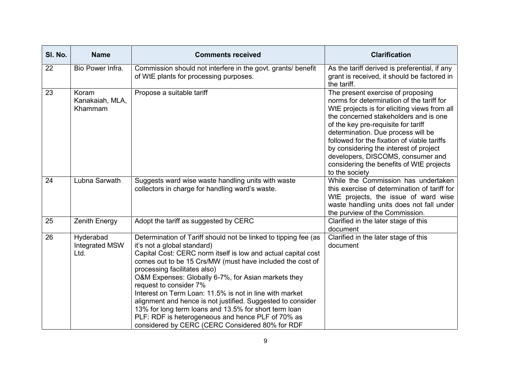| SI. No. | <b>Name</b><br><b>Comments received</b>    |                                                                                                                                                                                                                                                                                                                                                                                                                                                                                                                                                                                                                                          | <b>Clarification</b>                                                                                                                                                                                                                                                                                                                                                                                                                             |  |
|---------|--------------------------------------------|------------------------------------------------------------------------------------------------------------------------------------------------------------------------------------------------------------------------------------------------------------------------------------------------------------------------------------------------------------------------------------------------------------------------------------------------------------------------------------------------------------------------------------------------------------------------------------------------------------------------------------------|--------------------------------------------------------------------------------------------------------------------------------------------------------------------------------------------------------------------------------------------------------------------------------------------------------------------------------------------------------------------------------------------------------------------------------------------------|--|
| 22      | Bio Power Infra.                           | Commission should not interfere in the govt. grants/ benefit<br>of WtE plants for processing purposes.                                                                                                                                                                                                                                                                                                                                                                                                                                                                                                                                   | As the tariff derived is preferential, if any<br>grant is received, it should be factored in<br>the tariff.                                                                                                                                                                                                                                                                                                                                      |  |
| 23      | Koram<br>Kanakaiah, MLA,<br>Khammam        | Propose a suitable tariff                                                                                                                                                                                                                                                                                                                                                                                                                                                                                                                                                                                                                | The present exercise of proposing<br>norms for determination of the tariff for<br>WtE projects is for eliciting views from all<br>the concerned stakeholders and is one<br>of the key pre-requisite for tariff<br>determination. Due process will be<br>followed for the fixation of viable tariffs<br>by considering the interest of project<br>developers, DISCOMS, consumer and<br>considering the benefits of WtE projects<br>to the society |  |
| 24      | Lubna Sarwath                              | Suggests ward wise waste handling units with waste<br>collectors in charge for handling ward's waste.                                                                                                                                                                                                                                                                                                                                                                                                                                                                                                                                    | While the Commission has undertaken<br>this exercise of determination of tariff for<br>WtE projects, the issue of ward wise<br>waste handling units does not fall under<br>the purview of the Commission.                                                                                                                                                                                                                                        |  |
| 25      | <b>Zenith Energy</b>                       | Adopt the tariff as suggested by CERC                                                                                                                                                                                                                                                                                                                                                                                                                                                                                                                                                                                                    | Clarified in the later stage of this<br>document                                                                                                                                                                                                                                                                                                                                                                                                 |  |
| 26      | Hyderabad<br><b>Integrated MSW</b><br>Ltd. | Determination of Tariff should not be linked to tipping fee (as<br>it's not a global standard)<br>Capital Cost: CERC norm itself is low and actual capital cost<br>comes out to be 15 Crs/MW (must have included the cost of<br>processing facilitates also)<br>O&M Expenses: Globally 6-7%, for Asian markets they<br>request to consider 7%<br>Interest on Term Loan: 11.5% is not in line with market<br>alignment and hence is not justified. Suggested to consider<br>13% for long term loans and 13.5% for short term loan<br>PLF: RDF is heterogeneous and hence PLF of 70% as<br>considered by CERC (CERC Considered 80% for RDF | Clarified in the later stage of this<br>document                                                                                                                                                                                                                                                                                                                                                                                                 |  |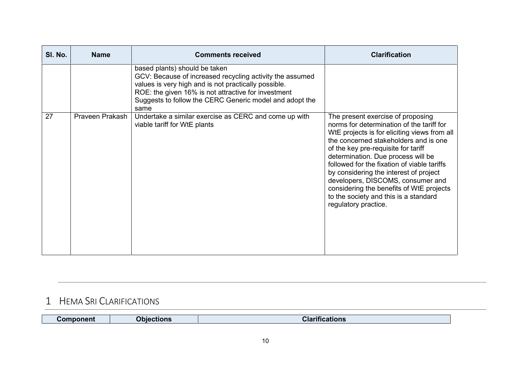| SI. No. | <b>Name</b>     | <b>Comments received</b>                                                                                                                                                                                                                                                    | <b>Clarification</b>                                                                                                                                                                                                                                                                                                                                                                                                                                                                            |
|---------|-----------------|-----------------------------------------------------------------------------------------------------------------------------------------------------------------------------------------------------------------------------------------------------------------------------|-------------------------------------------------------------------------------------------------------------------------------------------------------------------------------------------------------------------------------------------------------------------------------------------------------------------------------------------------------------------------------------------------------------------------------------------------------------------------------------------------|
|         |                 | based plants) should be taken<br>GCV: Because of increased recycling activity the assumed<br>values is very high and is not practically possible.<br>ROE: the given 16% is not attractive for investment<br>Suggests to follow the CERC Generic model and adopt the<br>same |                                                                                                                                                                                                                                                                                                                                                                                                                                                                                                 |
| 27      | Praveen Prakash | Undertake a similar exercise as CERC and come up with<br>viable tariff for WtE plants                                                                                                                                                                                       | The present exercise of proposing<br>norms for determination of the tariff for<br>WtE projects is for eliciting views from all<br>the concerned stakeholders and is one<br>of the key pre-requisite for tariff<br>determination. Due process will be<br>followed for the fixation of viable tariffs<br>by considering the interest of project<br>developers, DISCOMS, consumer and<br>considering the benefits of WtE projects<br>to the society and this is a standard<br>regulatory practice. |

## **1 HEMA SRI CLARIFICATIONS**

| Component | <b>)biections</b> | Clari<br>$ -$<br>cations |
|-----------|-------------------|--------------------------|
|           |                   |                          |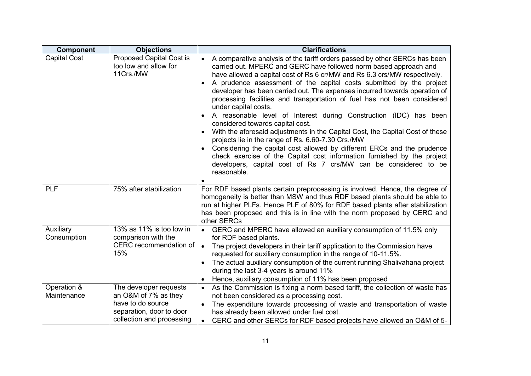| <b>Component</b>           | <b>Objections</b>                                                                                                            | <b>Clarifications</b>                                                                                                                                                                                                                                                                                                                                                                                                                                                                                                                                                                                                                                                                                                                                                                                                                                                                                                                                                             |
|----------------------------|------------------------------------------------------------------------------------------------------------------------------|-----------------------------------------------------------------------------------------------------------------------------------------------------------------------------------------------------------------------------------------------------------------------------------------------------------------------------------------------------------------------------------------------------------------------------------------------------------------------------------------------------------------------------------------------------------------------------------------------------------------------------------------------------------------------------------------------------------------------------------------------------------------------------------------------------------------------------------------------------------------------------------------------------------------------------------------------------------------------------------|
| <b>Capital Cost</b>        | <b>Proposed Capital Cost is</b><br>too low and allow for<br>11Crs./MW                                                        | • A comparative analysis of the tariff orders passed by other SERCs has been<br>carried out. MPERC and GERC have followed norm based approach and<br>have allowed a capital cost of Rs 6 cr/MW and Rs 6.3 crs/MW respectively.<br>A prudence assessment of the capital costs submitted by the project<br>developer has been carried out. The expenses incurred towards operation of<br>processing facilities and transportation of fuel has not been considered<br>under capital costs.<br>• A reasonable level of Interest during Construction (IDC) has been<br>considered towards capital cost.<br>With the aforesaid adjustments in the Capital Cost, the Capital Cost of these<br>projects lie in the range of Rs. 6.60-7.30 Crs./MW<br>Considering the capital cost allowed by different ERCs and the prudence<br>check exercise of the Capital cost information furnished by the project<br>developers, capital cost of Rs 7 crs/MW can be considered to be<br>reasonable. |
| <b>PLF</b>                 | 75% after stabilization                                                                                                      | For RDF based plants certain preprocessing is involved. Hence, the degree of<br>homogeneity is better than MSW and thus RDF based plants should be able to<br>run at higher PLFs. Hence PLF of 80% for RDF based plants after stabilization<br>has been proposed and this is in line with the norm proposed by CERC and<br>other SERCs                                                                                                                                                                                                                                                                                                                                                                                                                                                                                                                                                                                                                                            |
| Auxiliary<br>Consumption   | 13% as 11% is too low in<br>comparison with the<br>CERC recommendation of<br>15%                                             | • GERC and MPERC have allowed an auxiliary consumption of 11.5% only<br>for RDF based plants.<br>The project developers in their tariff application to the Commission have<br>$\bullet$<br>requested for auxiliary consumption in the range of 10-11.5%.<br>The actual auxiliary consumption of the current running Shalivahana project<br>during the last 3-4 years is around 11%<br>Hence, auxiliary consumption of 11% has been proposed                                                                                                                                                                                                                                                                                                                                                                                                                                                                                                                                       |
| Operation &<br>Maintenance | The developer requests<br>an O&M of 7% as they<br>have to do source<br>separation, door to door<br>collection and processing | • As the Commission is fixing a norm based tariff, the collection of waste has<br>not been considered as a processing cost.<br>The expenditure towards processing of waste and transportation of waste<br>has already been allowed under fuel cost.<br>CERC and other SERCs for RDF based projects have allowed an O&M of 5-<br>$\bullet$                                                                                                                                                                                                                                                                                                                                                                                                                                                                                                                                                                                                                                         |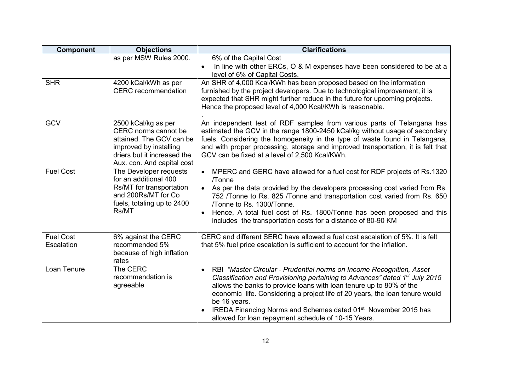| <b>Component</b>               | <b>Objections</b>                                                                                                                                              | <b>Clarifications</b>                                                                                                                                                                                                                                                                                                                                                                                                                                                                    |
|--------------------------------|----------------------------------------------------------------------------------------------------------------------------------------------------------------|------------------------------------------------------------------------------------------------------------------------------------------------------------------------------------------------------------------------------------------------------------------------------------------------------------------------------------------------------------------------------------------------------------------------------------------------------------------------------------------|
|                                | as per MSW Rules 2000.                                                                                                                                         | 6% of the Capital Cost<br>In line with other ERCs, O & M expenses have been considered to be at a<br>level of 6% of Capital Costs.                                                                                                                                                                                                                                                                                                                                                       |
| <b>SHR</b>                     | 4200 kCal/kWh as per<br><b>CERC</b> recommendation                                                                                                             | An SHR of 4,000 Kcal/KWh has been proposed based on the information<br>furnished by the project developers. Due to technological improvement, it is<br>expected that SHR might further reduce in the future for upcoming projects.<br>Hence the proposed level of 4,000 Kcal/KWh is reasonable.                                                                                                                                                                                          |
| <b>GCV</b>                     | 2500 kCal/kg as per<br>CERC norms cannot be<br>attained. The GCV can be<br>improved by installing<br>driers but it increased the<br>Aux. con. And capital cost | An independent test of RDF samples from various parts of Telangana has<br>estimated the GCV in the range 1800-2450 kCal/kg without usage of secondary<br>fuels. Considering the homogeneity in the type of waste found in Telangana,<br>and with proper processing, storage and improved transportation, it is felt that<br>GCV can be fixed at a level of 2,500 Kcal/KWh.                                                                                                               |
| <b>Fuel Cost</b>               | The Developer requests<br>for an additional 400<br>Rs/MT for transportation<br>and 200Rs/MT for Co<br>fuels, totaling up to 2400<br>Rs/MT                      | • MPERC and GERC have allowed for a fuel cost for RDF projects of Rs.1320<br>/Tonne<br>• As per the data provided by the developers processing cost varied from Rs.<br>752 /Tonne to Rs. 825 /Tonne and transportation cost varied from Rs. 650<br>/Tonne to Rs. 1300/Tonne.<br>Hence, A total fuel cost of Rs. 1800/Tonne has been proposed and this<br>includes the transportation costs for a distance of 80-90 KM                                                                    |
| <b>Fuel Cost</b><br>Escalation | 6% against the CERC<br>recommended 5%<br>because of high inflation<br>rates                                                                                    | CERC and different SERC have allowed a fuel cost escalation of 5%. It is felt<br>that 5% fuel price escalation is sufficient to account for the inflation.                                                                                                                                                                                                                                                                                                                               |
| Loan Tenure                    | The CERC<br>recommendation is<br>agreeable                                                                                                                     | RBI "Master Circular - Prudential norms on Income Recognition, Asset<br>$\bullet$<br>Classification and Provisioning pertaining to Advances" dated 1 <sup>st</sup> July 2015<br>allows the banks to provide loans with loan tenure up to 80% of the<br>economic life. Considering a project life of 20 years, the loan tenure would<br>be 16 years.<br>IREDA Financing Norms and Schemes dated 01 <sup>st</sup> November 2015 has<br>allowed for loan repayment schedule of 10-15 Years. |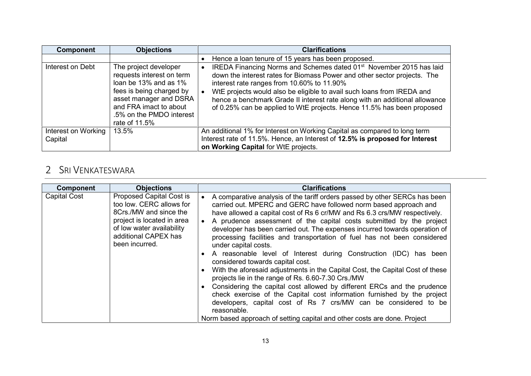| <b>Component</b>    | <b>Objections</b>                                                                                                                 | <b>Clarifications</b>                                                                                                                                                                                                                                                                                                                                                                                                    |
|---------------------|-----------------------------------------------------------------------------------------------------------------------------------|--------------------------------------------------------------------------------------------------------------------------------------------------------------------------------------------------------------------------------------------------------------------------------------------------------------------------------------------------------------------------------------------------------------------------|
| Interest on Debt    | The project developer<br>requests interest on term<br>loan be 13% and as 1%<br>fees is being charged by<br>asset manager and DSRA | Hence a loan tenure of 15 years has been proposed.<br>IREDA Financing Norms and Schemes dated 01 <sup>st</sup> November 2015 has laid<br>down the interest rates for Biomass Power and other sector projects. The<br>interest rate ranges from 10.60% to 11.90%<br>WtE projects would also be eligible to avail such loans from IREDA and<br>hence a benchmark Grade II interest rate along with an additional allowance |
| Interest on Working | and FRA imact to about<br>.5% on the PMDO interest<br>rate of 11.5%<br>13.5%                                                      | of 0.25% can be applied to WtE projects. Hence 11.5% has been proposed<br>An additional 1% for Interest on Working Capital as compared to long term                                                                                                                                                                                                                                                                      |
| Capital             |                                                                                                                                   | Interest rate of 11.5%. Hence, an Interest of 12.5% is proposed for Interest<br>on Working Capital for WtE projects.                                                                                                                                                                                                                                                                                                     |

### **2 SRI VENKATESWARA**

| <b>Objections</b><br><b>Component</b>                                                                                                                                                                             | <b>Clarifications</b>                                                                                                                                                                                                                                                                                                                                                                                                                                                                                                                                                                                                                                                                                                                                                                                                                                                                                                                                                                                                                                       |
|-------------------------------------------------------------------------------------------------------------------------------------------------------------------------------------------------------------------|-------------------------------------------------------------------------------------------------------------------------------------------------------------------------------------------------------------------------------------------------------------------------------------------------------------------------------------------------------------------------------------------------------------------------------------------------------------------------------------------------------------------------------------------------------------------------------------------------------------------------------------------------------------------------------------------------------------------------------------------------------------------------------------------------------------------------------------------------------------------------------------------------------------------------------------------------------------------------------------------------------------------------------------------------------------|
| <b>Proposed Capital Cost is</b><br><b>Capital Cost</b><br>too low. CERC allows for<br>8Crs./MW and since the<br>project is located in area<br>of low water availability<br>additional CAPEX has<br>been incurred. | A comparative analysis of the tariff orders passed by other SERCs has been<br>carried out. MPERC and GERC have followed norm based approach and<br>have allowed a capital cost of Rs 6 cr/MW and Rs 6.3 crs/MW respectively.<br>A prudence assessment of the capital costs submitted by the project<br>developer has been carried out. The expenses incurred towards operation of<br>processing facilities and transportation of fuel has not been considered<br>under capital costs.<br>• A reasonable level of Interest during Construction (IDC) has been<br>considered towards capital cost.<br>With the aforesaid adjustments in the Capital Cost, the Capital Cost of these<br>projects lie in the range of Rs. 6.60-7.30 Crs./MW<br>Considering the capital cost allowed by different ERCs and the prudence<br>check exercise of the Capital cost information furnished by the project<br>developers, capital cost of Rs 7 crs/MW can be considered to be<br>reasonable.<br>Norm based approach of setting capital and other costs are done. Project |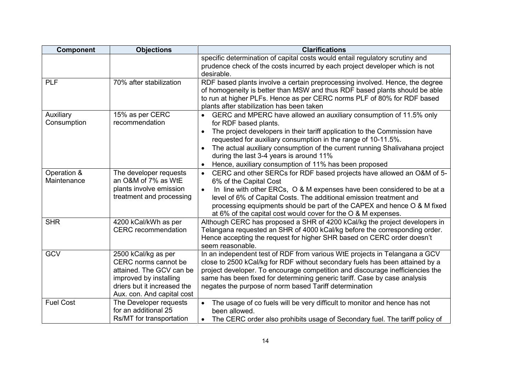| <b>Component</b>           | <b>Objections</b>                                                                                                                                              | <b>Clarifications</b>                                                                                                                                                                                                                                                                                                                                                                                                          |
|----------------------------|----------------------------------------------------------------------------------------------------------------------------------------------------------------|--------------------------------------------------------------------------------------------------------------------------------------------------------------------------------------------------------------------------------------------------------------------------------------------------------------------------------------------------------------------------------------------------------------------------------|
|                            |                                                                                                                                                                | specific determination of capital costs would entail regulatory scrutiny and<br>prudence check of the costs incurred by each project developer which is not<br>desirable.                                                                                                                                                                                                                                                      |
| <b>PLF</b>                 | 70% after stabilization                                                                                                                                        | RDF based plants involve a certain preprocessing involved. Hence, the degree<br>of homogeneity is better than MSW and thus RDF based plants should be able<br>to run at higher PLFs. Hence as per CERC norms PLF of 80% for RDF based<br>plants after stabilization has been taken                                                                                                                                             |
| Auxiliary<br>Consumption   | 15% as per CERC<br>recommendation                                                                                                                              | • GERC and MPERC have allowed an auxiliary consumption of 11.5% only<br>for RDF based plants.<br>The project developers in their tariff application to the Commission have<br>requested for auxiliary consumption in the range of 10-11.5%.<br>The actual auxiliary consumption of the current running Shalivahana project<br>during the last 3-4 years is around 11%<br>Hence, auxiliary consumption of 11% has been proposed |
| Operation &<br>Maintenance | The developer requests<br>an O&M of 7% as WtE<br>plants involve emission<br>treatment and processing                                                           | CERC and other SERCs for RDF based projects have allowed an O&M of 5-<br>$\bullet$<br>6% of the Capital Cost<br>In line with other ERCs, O & M expenses have been considered to be at a<br>$\bullet$<br>level of 6% of Capital Costs. The additional emission treatment and<br>processing equipments should be part of the CAPEX and hence O & M fixed<br>at 6% of the capital cost would cover for the O & M expenses.        |
| <b>SHR</b>                 | 4200 kCal/kWh as per<br><b>CERC</b> recommendation                                                                                                             | Although CERC has proposed a SHR of 4200 kCal/kg the project developers in<br>Telangana requested an SHR of 4000 kCal/kg before the corresponding order.<br>Hence accepting the request for higher SHR based on CERC order doesn't<br>seem reasonable.                                                                                                                                                                         |
| <b>GCV</b>                 | 2500 kCal/kg as per<br>CERC norms cannot be<br>attained. The GCV can be<br>improved by installing<br>driers but it increased the<br>Aux. con. And capital cost | In an independent test of RDF from various WtE projects in Telangana a GCV<br>close to 2500 kCal/kg for RDF without secondary fuels has been attained by a<br>project developer. To encourage competition and discourage inefficiencies the<br>same has been fixed for determining generic tariff. Case by case analysis<br>negates the purpose of norm based Tariff determination                                             |
| <b>Fuel Cost</b>           | The Developer requests<br>for an additional 25<br>Rs/MT for transportation                                                                                     | The usage of co fuels will be very difficult to monitor and hence has not<br>$\bullet$<br>been allowed.<br>The CERC order also prohibits usage of Secondary fuel. The tariff policy of                                                                                                                                                                                                                                         |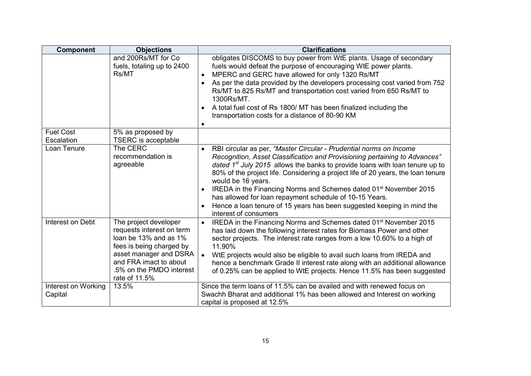| <b>Component</b>               | <b>Objections</b>                                                                                                                                                                                        | <b>Clarifications</b>                                                                                                                                                                                                                                                                                                                                                                                                                                                                                                                                                                                       |
|--------------------------------|----------------------------------------------------------------------------------------------------------------------------------------------------------------------------------------------------------|-------------------------------------------------------------------------------------------------------------------------------------------------------------------------------------------------------------------------------------------------------------------------------------------------------------------------------------------------------------------------------------------------------------------------------------------------------------------------------------------------------------------------------------------------------------------------------------------------------------|
|                                | and 200Rs/MT for Co<br>fuels, totaling up to 2400<br>Rs/MT                                                                                                                                               | obligates DISCOMS to buy power from WtE plants. Usage of secondary<br>fuels would defeat the purpose of encouraging WtE power plants.<br>MPERC and GERC have allowed for only 1320 Rs/MT<br>$\bullet$<br>As per the data provided by the developers processing cost varied from 752<br>Rs/MT to 825 Rs/MT and transportation cost varied from 650 Rs/MT to<br>1300Rs/MT.<br>A total fuel cost of Rs 1800/ MT has been finalized including the<br>transportation costs for a distance of 80-90 KM<br>$\bullet$                                                                                               |
| <b>Fuel Cost</b><br>Escalation | 5% as proposed by<br><b>TSERC</b> is acceptable                                                                                                                                                          |                                                                                                                                                                                                                                                                                                                                                                                                                                                                                                                                                                                                             |
| Loan Tenure                    | The CERC<br>recommendation is<br>agreeable                                                                                                                                                               | RBI circular as per, "Master Circular - Prudential norms on Income<br>Recognition, Asset Classification and Provisioning pertaining to Advances"<br>dated $1^{st}$ July 2015 allows the banks to provide loans with loan tenure up to<br>80% of the project life. Considering a project life of 20 years, the loan tenure<br>would be 16 years.<br>IREDA in the Financing Norms and Schemes dated 01 <sup>st</sup> November 2015<br>$\bullet$<br>has allowed for loan repayment schedule of 10-15 Years.<br>Hence a loan tenure of 15 years has been suggested keeping in mind the<br>interest of consumers |
| Interest on Debt               | The project developer<br>requests interest on term<br>loan be 13% and as 1%<br>fees is being charged by<br>asset manager and DSRA<br>and FRA imact to about<br>.5% on the PMDO interest<br>rate of 11.5% | IREDA in the Financing Norms and Schemes dated 01 <sup>st</sup> November 2015<br>$\bullet$<br>has laid down the following interest rates for Biomass Power and other<br>sector projects. The interest rate ranges from a low 10.60% to a high of<br>11.90%<br>WtE projects would also be eligible to avail such loans from IREDA and<br>$\bullet$<br>hence a benchmark Grade II interest rate along with an additional allowance<br>of 0.25% can be applied to WtE projects. Hence 11.5% has been suggested                                                                                                 |
| Interest on Working<br>Capital | 13.5%                                                                                                                                                                                                    | Since the term loans of 11.5% can be availed and with renewed focus on<br>Swachh Bharat and additional 1% has been allowed and Interest on working<br>capital is proposed at 12.5%                                                                                                                                                                                                                                                                                                                                                                                                                          |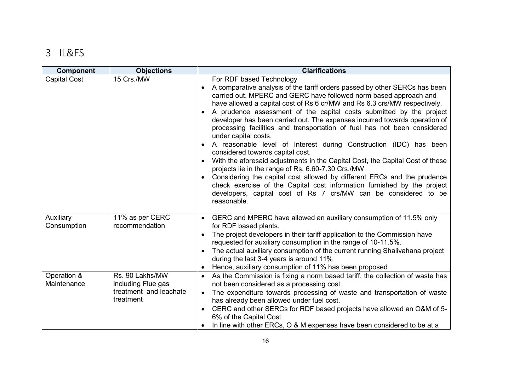# **3 IL&FS**

| <b>Component</b>           | <b>Objections</b>                                                            | <b>Clarifications</b>                                                                                                                                                                                                                                                                                                                                                                                                                                                                                                                                                                                                                                                                                                                                                                                                                                                                                                                                                                                           |
|----------------------------|------------------------------------------------------------------------------|-----------------------------------------------------------------------------------------------------------------------------------------------------------------------------------------------------------------------------------------------------------------------------------------------------------------------------------------------------------------------------------------------------------------------------------------------------------------------------------------------------------------------------------------------------------------------------------------------------------------------------------------------------------------------------------------------------------------------------------------------------------------------------------------------------------------------------------------------------------------------------------------------------------------------------------------------------------------------------------------------------------------|
| <b>Capital Cost</b>        | 15 Crs./MW                                                                   | For RDF based Technology<br>• A comparative analysis of the tariff orders passed by other SERCs has been<br>carried out. MPERC and GERC have followed norm based approach and<br>have allowed a capital cost of Rs 6 cr/MW and Rs 6.3 crs/MW respectively.<br>• A prudence assessment of the capital costs submitted by the project<br>developer has been carried out. The expenses incurred towards operation of<br>processing facilities and transportation of fuel has not been considered<br>under capital costs.<br>• A reasonable level of Interest during Construction (IDC) has been<br>considered towards capital cost.<br>With the aforesaid adjustments in the Capital Cost, the Capital Cost of these<br>projects lie in the range of Rs. 6.60-7.30 Crs./MW<br>Considering the capital cost allowed by different ERCs and the prudence<br>check exercise of the Capital cost information furnished by the project<br>developers, capital cost of Rs 7 crs/MW can be considered to be<br>reasonable. |
| Auxiliary<br>Consumption   | 11% as per CERC<br>recommendation                                            | GERC and MPERC have allowed an auxiliary consumption of 11.5% only<br>for RDF based plants.<br>The project developers in their tariff application to the Commission have<br>requested for auxiliary consumption in the range of 10-11.5%.<br>The actual auxiliary consumption of the current running Shalivahana project<br>during the last 3-4 years is around 11%<br>Hence, auxiliary consumption of 11% has been proposed                                                                                                                                                                                                                                                                                                                                                                                                                                                                                                                                                                                    |
| Operation &<br>Maintenance | Rs. 90 Lakhs/MW<br>including Flue gas<br>treatment and leachate<br>treatment | As the Commission is fixing a norm based tariff, the collection of waste has<br>not been considered as a processing cost.<br>The expenditure towards processing of waste and transportation of waste<br>$\bullet$<br>has already been allowed under fuel cost.<br>CERC and other SERCs for RDF based projects have allowed an O&M of 5-<br>6% of the Capital Cost<br>In line with other ERCs, O & M expenses have been considered to be at a                                                                                                                                                                                                                                                                                                                                                                                                                                                                                                                                                                    |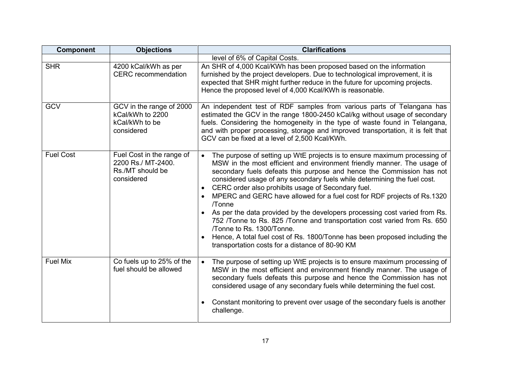| <b>Component</b> | <b>Objections</b>                                                                 | <b>Clarifications</b>                                                                                                                                                                                                                                                                                                                                                                                                                                                                                                                                                                                                                                                                                                                                                                                    |
|------------------|-----------------------------------------------------------------------------------|----------------------------------------------------------------------------------------------------------------------------------------------------------------------------------------------------------------------------------------------------------------------------------------------------------------------------------------------------------------------------------------------------------------------------------------------------------------------------------------------------------------------------------------------------------------------------------------------------------------------------------------------------------------------------------------------------------------------------------------------------------------------------------------------------------|
|                  |                                                                                   | level of 6% of Capital Costs.                                                                                                                                                                                                                                                                                                                                                                                                                                                                                                                                                                                                                                                                                                                                                                            |
| <b>SHR</b>       | 4200 kCal/kWh as per<br><b>CERC</b> recommendation                                | An SHR of 4,000 Kcal/KWh has been proposed based on the information<br>furnished by the project developers. Due to technological improvement, it is<br>expected that SHR might further reduce in the future for upcoming projects.<br>Hence the proposed level of 4,000 Kcal/KWh is reasonable.                                                                                                                                                                                                                                                                                                                                                                                                                                                                                                          |
| <b>GCV</b>       | GCV in the range of 2000<br>kCal/kWh to 2200<br>kCal/kWh to be<br>considered      | An independent test of RDF samples from various parts of Telangana has<br>estimated the GCV in the range 1800-2450 kCal/kg without usage of secondary<br>fuels. Considering the homogeneity in the type of waste found in Telangana,<br>and with proper processing, storage and improved transportation, it is felt that<br>GCV can be fixed at a level of 2,500 Kcal/KWh.                                                                                                                                                                                                                                                                                                                                                                                                                               |
| <b>Fuel Cost</b> | Fuel Cost in the range of<br>2200 Rs./ MT-2400.<br>Rs./MT should be<br>considered | The purpose of setting up WtE projects is to ensure maximum processing of<br>$\bullet$<br>MSW in the most efficient and environment friendly manner. The usage of<br>secondary fuels defeats this purpose and hence the Commission has not<br>considered usage of any secondary fuels while determining the fuel cost.<br>• CERC order also prohibits usage of Secondary fuel.<br>MPERC and GERC have allowed for a fuel cost for RDF projects of Rs.1320<br>/Tonne<br>As per the data provided by the developers processing cost varied from Rs.<br>$\bullet$<br>752 /Tonne to Rs. 825 /Tonne and transportation cost varied from Rs. 650<br>/Tonne to Rs. 1300/Tonne.<br>Hence, A total fuel cost of Rs. 1800/Tonne has been proposed including the<br>transportation costs for a distance of 80-90 KM |
| <b>Fuel Mix</b>  | Co fuels up to 25% of the<br>fuel should be allowed                               | The purpose of setting up WtE projects is to ensure maximum processing of<br>$\bullet$<br>MSW in the most efficient and environment friendly manner. The usage of<br>secondary fuels defeats this purpose and hence the Commission has not<br>considered usage of any secondary fuels while determining the fuel cost.<br>Constant monitoring to prevent over usage of the secondary fuels is another<br>challenge.                                                                                                                                                                                                                                                                                                                                                                                      |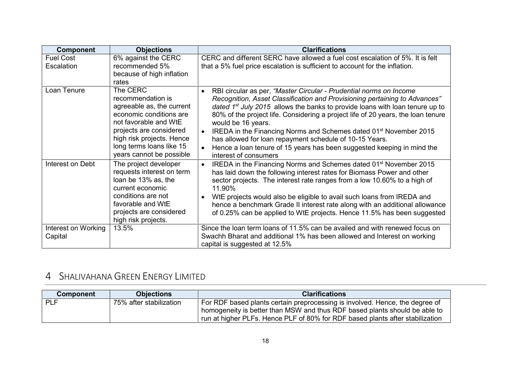| <b>Component</b>               | <b>Objections</b>                                                                                                                                                                                                              | <b>Clarifications</b>                                                                                                                                                                                                                                                                                                                                                                                                                                                                                                                                                                                     |
|--------------------------------|--------------------------------------------------------------------------------------------------------------------------------------------------------------------------------------------------------------------------------|-----------------------------------------------------------------------------------------------------------------------------------------------------------------------------------------------------------------------------------------------------------------------------------------------------------------------------------------------------------------------------------------------------------------------------------------------------------------------------------------------------------------------------------------------------------------------------------------------------------|
| <b>Fuel Cost</b><br>Escalation | 6% against the CERC<br>recommended 5%<br>because of high inflation<br>rates                                                                                                                                                    | CERC and different SERC have allowed a fuel cost escalation of 5%. It is felt<br>that a 5% fuel price escalation is sufficient to account for the inflation.                                                                                                                                                                                                                                                                                                                                                                                                                                              |
| Loan Tenure                    | The CERC<br>recommendation is<br>agreeable as, the current<br>economic conditions are<br>not favorable and WtE<br>projects are considered<br>high risk projects. Hence<br>long terms loans like 15<br>years cannot be possible | RBI circular as per, "Master Circular - Prudential norms on Income"<br>Recognition, Asset Classification and Provisioning pertaining to Advances"<br>dated $1st$ July 2015 allows the banks to provide loans with loan tenure up to<br>80% of the project life. Considering a project life of 20 years, the loan tenure<br>would be 16 years.<br>IREDA in the Financing Norms and Schemes dated 01 <sup>st</sup> November 2015<br>$\bullet$<br>has allowed for loan repayment schedule of 10-15 Years.<br>Hence a loan tenure of 15 years has been suggested keeping in mind the<br>interest of consumers |
| Interest on Debt               | The project developer<br>requests interest on term<br>loan be 13% as, the<br>current economic<br>conditions are not<br>favorable and WtE<br>projects are considered<br>high risk projects.                                     | IREDA in the Financing Norms and Schemes dated 01 <sup>st</sup> November 2015<br>has laid down the following interest rates for Biomass Power and other<br>sector projects. The interest rate ranges from a low 10.60% to a high of<br>11.90%<br>WtE projects would also be eligible to avail such loans from IREDA and<br>hence a benchmark Grade II interest rate along with an additional allowance<br>of 0.25% can be applied to WtE projects. Hence 11.5% has been suggested                                                                                                                         |
| Interest on Working<br>Capital | 13.5%                                                                                                                                                                                                                          | Since the loan term loans of 11.5% can be availed and with renewed focus on<br>Swachh Bharat and additional 1% has been allowed and Interest on working<br>capital is suggested at 12.5%                                                                                                                                                                                                                                                                                                                                                                                                                  |

# **4 SHALIVAHANA GREEN ENERGY LIMITED**

| <b>Component</b> | <b>Objections</b>       | <b>Clarifications</b>                                                                                                                                                                                                                       |
|------------------|-------------------------|---------------------------------------------------------------------------------------------------------------------------------------------------------------------------------------------------------------------------------------------|
| ⊩ PLF            | 75% after stabilization | For RDF based plants certain preprocessing is involved. Hence, the degree of<br>homogeneity is better than MSW and thus RDF based plants should be able to<br>run at higher PLFs. Hence PLF of 80% for RDF based plants after stabilization |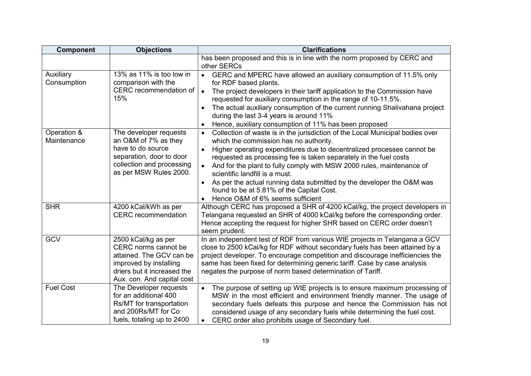| <b>Component</b>           | <b>Objections</b>                                                                                                                                              | <b>Clarifications</b>                                                                                                                                                                                                                                                                                                                                                                                                                                                                                                                                                   |
|----------------------------|----------------------------------------------------------------------------------------------------------------------------------------------------------------|-------------------------------------------------------------------------------------------------------------------------------------------------------------------------------------------------------------------------------------------------------------------------------------------------------------------------------------------------------------------------------------------------------------------------------------------------------------------------------------------------------------------------------------------------------------------------|
|                            |                                                                                                                                                                | has been proposed and this is in line with the norm proposed by CERC and<br>other SERCs                                                                                                                                                                                                                                                                                                                                                                                                                                                                                 |
| Auxiliary<br>Consumption   | 13% as 11% is too low in<br>comparison with the<br>CERC recommendation of<br>15%                                                                               | • GERC and MPERC have allowed an auxiliary consumption of 11.5% only<br>for RDF based plants.<br>The project developers in their tariff application to the Commission have<br>$\bullet$<br>requested for auxiliary consumption in the range of 10-11.5%.<br>The actual auxiliary consumption of the current running Shalivahana project<br>during the last 3-4 years is around 11%<br>Hence, auxiliary consumption of 11% has been proposed                                                                                                                             |
| Operation &<br>Maintenance | The developer requests<br>an O&M of 7% as they<br>have to do source<br>separation, door to door<br>collection and processing<br>as per MSW Rules 2000.         | Collection of waste is in the jurisdiction of the Local Municipal bodies over<br>$\bullet$<br>which the commission has no authority.<br>Higher operating expenditures due to decentralized processes cannot be<br>requested as processing fee is taken separately in the fuel costs<br>And for the plant to fully comply with MSW 2000 rules, maintenance of<br>$\bullet$<br>scientific landfill is a must.<br>• As per the actual running data submitted by the developer the O&M was<br>found to be at 5.81% of the Capital Cost.<br>Hence O&M of 6% seems sufficient |
| <b>SHR</b>                 | 4200 kCal/kWh as per<br><b>CERC</b> recommendation                                                                                                             | Although CERC has proposed a SHR of 4200 kCal/kg, the project developers in<br>Telangana requested an SHR of 4000 kCal/kg before the corresponding order.<br>Hence accepting the request for higher SHR based on CERC order doesn't<br>seem prudent.                                                                                                                                                                                                                                                                                                                    |
| <b>GCV</b>                 | 2500 kCal/kg as per<br>CERC norms cannot be<br>attained. The GCV can be<br>improved by installing<br>driers but it increased the<br>Aux. con. And capital cost | In an independent test of RDF from various WtE projects in Telangana a GCV<br>close to 2500 kCal/kg for RDF without secondary fuels has been attained by a<br>project developer. To encourage competition and discourage inefficiencies the<br>same has been fixed for determining generic tariff. Case by case analysis<br>negates the purpose of norm based determination of Tariff.                                                                                                                                                                                  |
| <b>Fuel Cost</b>           | The Developer requests<br>for an additional 400<br>Rs/MT for transportation<br>and 200Rs/MT for Co.<br>fuels, totaling up to 2400                              | The purpose of setting up WtE projects is to ensure maximum processing of<br>MSW in the most efficient and environment friendly manner. The usage of<br>secondary fuels defeats this purpose and hence the Commission has not<br>considered usage of any secondary fuels while determining the fuel cost.<br>CERC order also prohibits usage of Secondary fuel.                                                                                                                                                                                                         |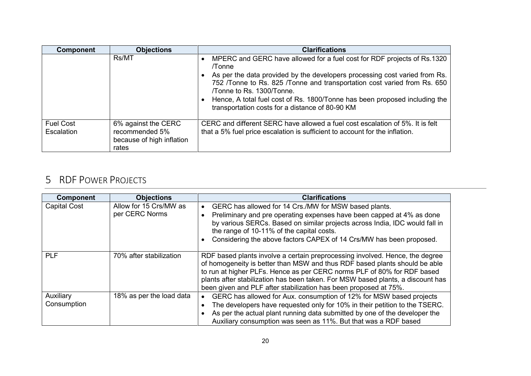| <b>Component</b>               | <b>Objections</b>                                                           | <b>Clarifications</b>                                                                                                                                                                                                                                                                                               |
|--------------------------------|-----------------------------------------------------------------------------|---------------------------------------------------------------------------------------------------------------------------------------------------------------------------------------------------------------------------------------------------------------------------------------------------------------------|
|                                | Rs/MT                                                                       | MPERC and GERC have allowed for a fuel cost for RDF projects of Rs.1320<br>/Tonne                                                                                                                                                                                                                                   |
|                                |                                                                             | As per the data provided by the developers processing cost varied from Rs.<br>752 /Tonne to Rs. 825 /Tonne and transportation cost varied from Rs. 650<br>Tonne to Rs. 1300/Tonne.<br>Hence, A total fuel cost of Rs. 1800/Tonne has been proposed including the<br>transportation costs for a distance of 80-90 KM |
| <b>Fuel Cost</b><br>Escalation | 6% against the CERC<br>recommended 5%<br>because of high inflation<br>rates | CERC and different SERC have allowed a fuel cost escalation of 5%. It is felt<br>that a 5% fuel price escalation is sufficient to account for the inflation.                                                                                                                                                        |

# **5 RDF POWER PROJECTS**

| <b>Component</b>         | <b>Objections</b>                        | <b>Clarifications</b>                                                                                                                                                                                                                                                                                                                                                                        |
|--------------------------|------------------------------------------|----------------------------------------------------------------------------------------------------------------------------------------------------------------------------------------------------------------------------------------------------------------------------------------------------------------------------------------------------------------------------------------------|
| <b>Capital Cost</b>      | Allow for 15 Crs/MW as<br>per CERC Norms | GERC has allowed for 14 Crs./MW for MSW based plants.<br>Preliminary and pre operating expenses have been capped at 4% as done<br>by various SERCs. Based on similar projects across India, IDC would fall in<br>the range of 10-11% of the capital costs.<br>Considering the above factors CAPEX of 14 Crs/MW has been proposed.                                                            |
| <b>PLF</b>               | 70% after stabilization                  | RDF based plants involve a certain preprocessing involved. Hence, the degree<br>of homogeneity is better than MSW and thus RDF based plants should be able<br>to run at higher PLFs. Hence as per CERC norms PLF of 80% for RDF based<br>plants after stabilization has been taken. For MSW based plants, a discount has<br>been given and PLF after stabilization has been proposed at 75%. |
| Auxiliary<br>Consumption | 18% as per the load data                 | GERC has allowed for Aux. consumption of 12% for MSW based projects<br>The developers have requested only for 10% in their petition to the TSERC.<br>As per the actual plant running data submitted by one of the developer the<br>Auxiliary consumption was seen as 11%. But that was a RDF based                                                                                           |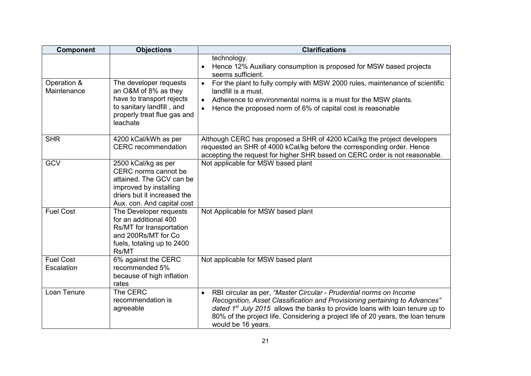| Component                      | <b>Objections</b>                                                                                                                                              | <b>Clarifications</b>                                                                                                                                                                                                                                                                                                                                     |
|--------------------------------|----------------------------------------------------------------------------------------------------------------------------------------------------------------|-----------------------------------------------------------------------------------------------------------------------------------------------------------------------------------------------------------------------------------------------------------------------------------------------------------------------------------------------------------|
|                                |                                                                                                                                                                | technology.<br>Hence 12% Auxiliary consumption is proposed for MSW based projects<br>seems sufficient.                                                                                                                                                                                                                                                    |
| Operation &<br>Maintenance     | The developer requests<br>an O&M of 8% as they<br>have to transport rejects<br>to sanitary landfill, and<br>properly treat flue gas and<br>leachate            | For the plant to fully comply with MSW 2000 rules, maintenance of scientific<br>$\bullet$<br>landfill is a must.<br>Adherence to environmental norms is a must for the MSW plants.<br>$\bullet$<br>Hence the proposed norm of 6% of capital cost is reasonable<br>$\bullet$                                                                               |
| <b>SHR</b>                     | 4200 kCal/kWh as per<br><b>CERC</b> recommendation                                                                                                             | Although CERC has proposed a SHR of 4200 kCal/kg the project developers<br>requested an SHR of 4000 kCal/kg before the corresponding order. Hence<br>accepting the request for higher SHR based on CERC order is not reasonable.                                                                                                                          |
| <b>GCV</b>                     | 2500 kCal/kg as per<br>CERC norms cannot be<br>attained. The GCV can be<br>improved by installing<br>driers but it increased the<br>Aux. con. And capital cost | Not applicable for MSW based plant                                                                                                                                                                                                                                                                                                                        |
| <b>Fuel Cost</b>               | The Developer requests<br>for an additional 400<br>Rs/MT for transportation<br>and 200Rs/MT for Co<br>fuels, totaling up to 2400<br>Rs/MT                      | Not Applicable for MSW based plant                                                                                                                                                                                                                                                                                                                        |
| <b>Fuel Cost</b><br>Escalation | 6% against the CERC<br>recommended 5%<br>because of high inflation<br>rates                                                                                    | Not applicable for MSW based plant                                                                                                                                                                                                                                                                                                                        |
| Loan Tenure                    | The CERC<br>recommendation is<br>agreeable                                                                                                                     | RBI circular as per, "Master Circular - Prudential norms on Income<br>$\bullet$<br>Recognition, Asset Classification and Provisioning pertaining to Advances"<br>dated $1st$ July 2015 allows the banks to provide loans with loan tenure up to<br>80% of the project life. Considering a project life of 20 years, the loan tenure<br>would be 16 years. |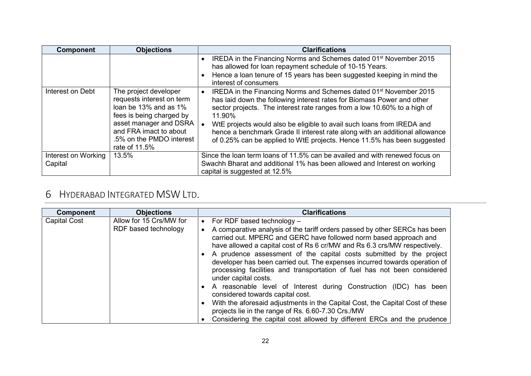| <b>Component</b>    | <b>Objections</b>                                                                                                                                                                                        | <b>Clarifications</b>                                                                                                                                                                                                                                                                                                                                                                                                                                                                |
|---------------------|----------------------------------------------------------------------------------------------------------------------------------------------------------------------------------------------------------|--------------------------------------------------------------------------------------------------------------------------------------------------------------------------------------------------------------------------------------------------------------------------------------------------------------------------------------------------------------------------------------------------------------------------------------------------------------------------------------|
|                     |                                                                                                                                                                                                          | IREDA in the Financing Norms and Schemes dated 01 <sup>st</sup> November 2015<br>has allowed for loan repayment schedule of 10-15 Years.                                                                                                                                                                                                                                                                                                                                             |
|                     |                                                                                                                                                                                                          | • Hence a loan tenure of 15 years has been suggested keeping in mind the<br>interest of consumers                                                                                                                                                                                                                                                                                                                                                                                    |
| Interest on Debt    | The project developer<br>requests interest on term<br>loan be 13% and as 1%<br>fees is being charged by<br>asset manager and DSRA<br>and FRA imact to about<br>.5% on the PMDO interest<br>rate of 11.5% | IREDA in the Financing Norms and Schemes dated 01 <sup>st</sup> November 2015<br>has laid down the following interest rates for Biomass Power and other<br>sector projects. The interest rate ranges from a low 10.60% to a high of<br>$11.90\%$<br>WtE projects would also be eligible to avail such loans from IREDA and<br>hence a benchmark Grade II interest rate along with an additional allowance<br>of 0.25% can be applied to WtE projects. Hence 11.5% has been suggested |
| Interest on Working | 13.5%                                                                                                                                                                                                    | Since the loan term loans of 11.5% can be availed and with renewed focus on                                                                                                                                                                                                                                                                                                                                                                                                          |
| Capital             |                                                                                                                                                                                                          | Swachh Bharat and additional 1% has been allowed and Interest on working<br>capital is suggested at 12.5%                                                                                                                                                                                                                                                                                                                                                                            |

# **6 HYDERABAD INTEGRATED MSW LTD.**

| <b>Component</b>    | <b>Objections</b>                               | <b>Clarifications</b>                                                                                                                                                                                                                                                                                                                                                                                                                                                                                                                                                                                                                                                                                                                                                                                                                                               |
|---------------------|-------------------------------------------------|---------------------------------------------------------------------------------------------------------------------------------------------------------------------------------------------------------------------------------------------------------------------------------------------------------------------------------------------------------------------------------------------------------------------------------------------------------------------------------------------------------------------------------------------------------------------------------------------------------------------------------------------------------------------------------------------------------------------------------------------------------------------------------------------------------------------------------------------------------------------|
| <b>Capital Cost</b> | Allow for 15 Crs/MW for<br>RDF based technology | For RDF based technology $-$<br>$\bullet$<br>A comparative analysis of the tariff orders passed by other SERCs has been<br>carried out. MPERC and GERC have followed norm based approach and<br>have allowed a capital cost of Rs 6 cr/MW and Rs 6.3 crs/MW respectively.<br>• A prudence assessment of the capital costs submitted by the project<br>developer has been carried out. The expenses incurred towards operation of<br>processing facilities and transportation of fuel has not been considered<br>under capital costs.<br>• A reasonable level of Interest during Construction (IDC) has been<br>considered towards capital cost.<br>• With the aforesaid adjustments in the Capital Cost, the Capital Cost of these<br>projects lie in the range of Rs. 6.60-7.30 Crs./MW<br>Considering the capital cost allowed by different ERCs and the prudence |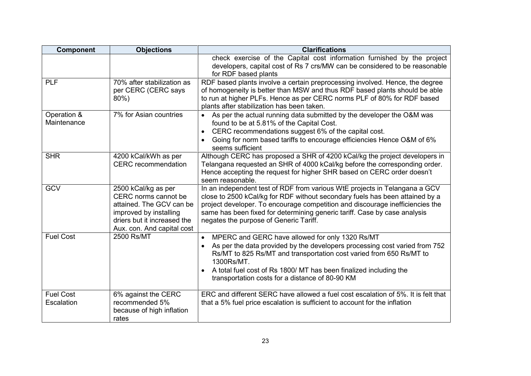| Component                      | <b>Objections</b>                                                                                                                                              | <b>Clarifications</b>                                                                                                                                                                                                                                                                                                                                                |
|--------------------------------|----------------------------------------------------------------------------------------------------------------------------------------------------------------|----------------------------------------------------------------------------------------------------------------------------------------------------------------------------------------------------------------------------------------------------------------------------------------------------------------------------------------------------------------------|
|                                |                                                                                                                                                                | check exercise of the Capital cost information furnished by the project<br>developers, capital cost of Rs 7 crs/MW can be considered to be reasonable<br>for RDF based plants                                                                                                                                                                                        |
| <b>PLF</b>                     | 70% after stabilization as<br>per CERC (CERC says<br>$80\%$ )                                                                                                  | RDF based plants involve a certain preprocessing involved. Hence, the degree<br>of homogeneity is better than MSW and thus RDF based plants should be able<br>to run at higher PLFs. Hence as per CERC norms PLF of 80% for RDF based<br>plants after stabilization has been taken.                                                                                  |
| Operation &<br>Maintenance     | 7% for Asian countries                                                                                                                                         | As per the actual running data submitted by the developer the O&M was<br>found to be at 5.81% of the Capital Cost.<br>CERC recommendations suggest 6% of the capital cost.<br>$\bullet$<br>Going for norm based tariffs to encourage efficiencies Hence O&M of 6%<br>$\bullet$<br>seems sufficient                                                                   |
| <b>SHR</b>                     | 4200 kCal/kWh as per<br><b>CERC</b> recommendation                                                                                                             | Although CERC has proposed a SHR of 4200 kCal/kg the project developers in<br>Telangana requested an SHR of 4000 kCal/kg before the corresponding order.<br>Hence accepting the request for higher SHR based on CERC order doesn't<br>seem reasonable.                                                                                                               |
| <b>GCV</b>                     | 2500 kCal/kg as per<br>CERC norms cannot be<br>attained. The GCV can be<br>improved by installing<br>driers but it increased the<br>Aux. con. And capital cost | In an independent test of RDF from various WtE projects in Telangana a GCV<br>close to 2500 kCal/kg for RDF without secondary fuels has been attained by a<br>project developer. To encourage competition and discourage inefficiencies the<br>same has been fixed for determining generic tariff. Case by case analysis<br>negates the purpose of Generic Tariff.   |
| <b>Fuel Cost</b>               | 2500 Rs/MT                                                                                                                                                     | MPERC and GERC have allowed for only 1320 Rs/MT<br>$\bullet$<br>As per the data provided by the developers processing cost varied from 752<br>Rs/MT to 825 Rs/MT and transportation cost varied from 650 Rs/MT to<br>1300Rs/MT.<br>A total fuel cost of Rs 1800/ MT has been finalized including the<br>$\bullet$<br>transportation costs for a distance of 80-90 KM |
| <b>Fuel Cost</b><br>Escalation | 6% against the CERC<br>recommended 5%<br>because of high inflation<br>rates                                                                                    | ERC and different SERC have allowed a fuel cost escalation of 5%. It is felt that<br>that a 5% fuel price escalation is sufficient to account for the inflation                                                                                                                                                                                                      |